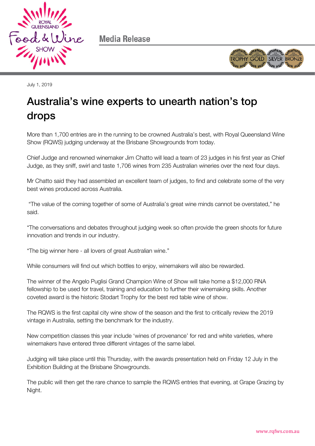

Media Release



July 1, 2019

## Australia's wine experts to unearth nation's top drops

More than 1,700 entries are in the running to be crowned Australia's best, with Royal Queensland Wine Show (RQWS) judging underway at the Brisbane Showgrounds from today.

Chief Judge and renowned winemaker Jim Chatto will lead a team of 23 judges in his first year as Chief Judge, as they sniff, swirl and taste 1,706 wines from 235 Australian wineries over the next four days.

Mr Chatto said they had assembled an excellent team of judges, to find and celebrate some of the very best wines produced across Australia.

"The value of the coming together of some of Australia's great wine minds cannot be overstated," he said.

"The conversations and debates throughout judging week so often provide the green shoots for future innovation and trends in our industry.

"The big winner here - all lovers of great Australian wine."

While consumers will find out which bottles to enjoy, winemakers will also be rewarded.

The winner of the Angelo Puglisi Grand Champion Wine of Show will take home a \$12,000 RNA fellowship to be used for travel, training and education to further their winemaking skills. Another coveted award is the historic Stodart Trophy for the best red table wine of show.

The RQWS is the first capital city wine show of the season and the first to critically review the 2019 vintage in Australia, setting the benchmark for the industry.

New competition classes this year include 'wines of provenance' for red and white varieties, where winemakers have entered three different vintages of the same label.

Judging will take place until this Thursday, with the awards presentation held on Friday 12 July in the Exhibition Building at the Brisbane Showgrounds.

The public will then get the rare chance to sample the RQWS entries that evening, at Grape Grazing by Night.